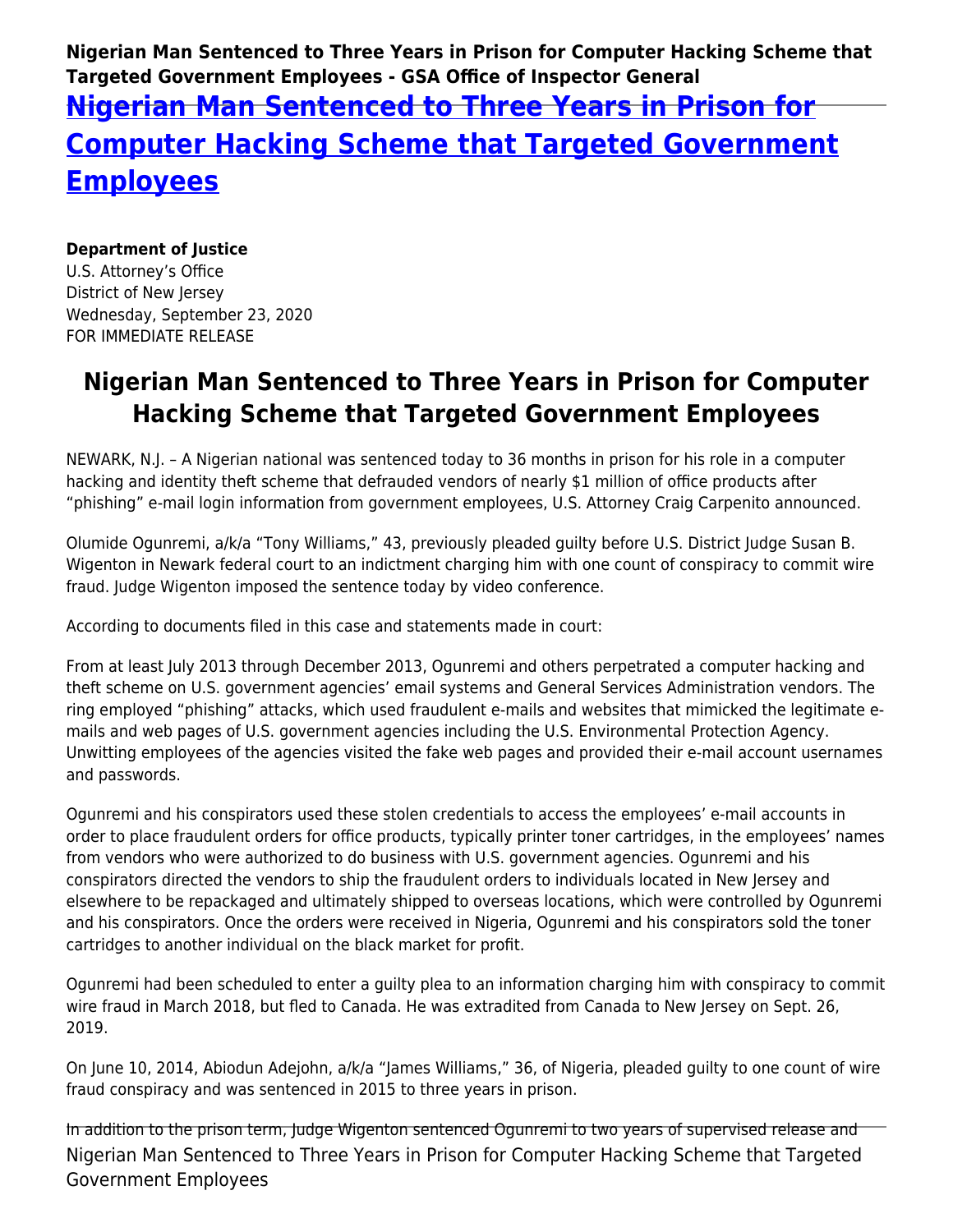**Nigerian Man Sentenced to Three Years in Prison for Computer Hacking Scheme that Targeted Government Employees - GSA Office of Inspector General**

## **[Nigerian Man Sentenced to Three Years in Prison for](https://www.gsaig.gov/news/nigerian-man-sentenced-three-years-prison-computer-hacking-scheme-targeted-government) [Computer Hacking Scheme that Targeted Government](https://www.gsaig.gov/news/nigerian-man-sentenced-three-years-prison-computer-hacking-scheme-targeted-government) [Employees](https://www.gsaig.gov/news/nigerian-man-sentenced-three-years-prison-computer-hacking-scheme-targeted-government)**

## **Department of Justice**

U.S. Attorney's Office District of New Jersey Wednesday, September 23, 2020 FOR IMMEDIATE RELEASE

## **Nigerian Man Sentenced to Three Years in Prison for Computer Hacking Scheme that Targeted Government Employees**

NEWARK, N.J. – A Nigerian national was sentenced today to 36 months in prison for his role in a computer hacking and identity theft scheme that defrauded vendors of nearly \$1 million of office products after "phishing" e-mail login information from government employees, U.S. Attorney Craig Carpenito announced.

Olumide Ogunremi, a/k/a "Tony Williams," 43, previously pleaded guilty before U.S. District Judge Susan B. Wigenton in Newark federal court to an indictment charging him with one count of conspiracy to commit wire fraud. Judge Wigenton imposed the sentence today by video conference.

According to documents filed in this case and statements made in court:

From at least July 2013 through December 2013, Ogunremi and others perpetrated a computer hacking and theft scheme on U.S. government agencies' email systems and General Services Administration vendors. The ring employed "phishing" attacks, which used fraudulent e-mails and websites that mimicked the legitimate emails and web pages of U.S. government agencies including the U.S. Environmental Protection Agency. Unwitting employees of the agencies visited the fake web pages and provided their e-mail account usernames and passwords.

Ogunremi and his conspirators used these stolen credentials to access the employees' e-mail accounts in order to place fraudulent orders for office products, typically printer toner cartridges, in the employees' names from vendors who were authorized to do business with U.S. government agencies. Ogunremi and his conspirators directed the vendors to ship the fraudulent orders to individuals located in New Jersey and elsewhere to be repackaged and ultimately shipped to overseas locations, which were controlled by Ogunremi and his conspirators. Once the orders were received in Nigeria, Ogunremi and his conspirators sold the toner cartridges to another individual on the black market for profit.

Ogunremi had been scheduled to enter a guilty plea to an information charging him with conspiracy to commit wire fraud in March 2018, but fled to Canada. He was extradited from Canada to New Jersey on Sept. 26, 2019.

On June 10, 2014, Abiodun Adejohn, a/k/a "James Williams," 36, of Nigeria, pleaded guilty to one count of wire fraud conspiracy and was sentenced in 2015 to three years in prison.

Nigerian Man Sentenced to Three Years in Prison for Computer Hacking Scheme that Targeted Government Employees In addition to the prison term, Judge Wigenton sentenced Ogunremi to two years of supervised release and